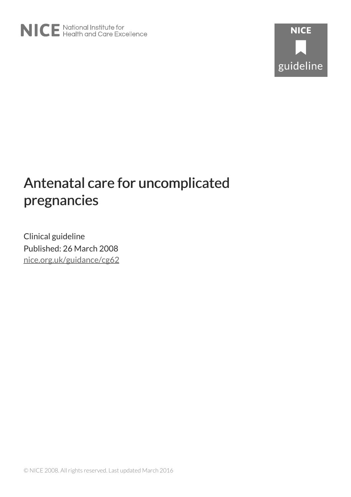# Antenatal care for uncomplicated pregnancies

Clinical guideline Published: 26 March 2008 [nice.org.uk/guidance/cg62](http://nice.org.uk/guidance/cg62)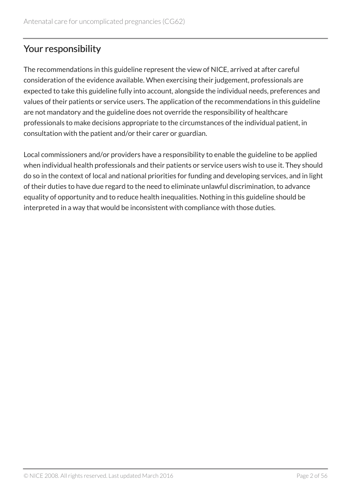# Your responsibility

The recommendations in this guideline represent the view of NICE, arrived at after careful consideration of the evidence available. When exercising their judgement, professionals are expected to take this guideline fully into account, alongside the individual needs, preferences and values of their patients or service users. The application of the recommendations in this guideline are not mandatory and the guideline does not override the responsibility of healthcare professionals to make decisions appropriate to the circumstances of the individual patient, in consultation with the patient and/or their carer or guardian.

Local commissioners and/or providers have a responsibility to enable the guideline to be applied when individual health professionals and their patients or service users wish to use it. They should do so in the context of local and national priorities for funding and developing services, and in light of their duties to have due regard to the need to eliminate unlawful discrimination, to advance equality of opportunity and to reduce health inequalities. Nothing in this guideline should be interpreted in a way that would be inconsistent with compliance with those duties.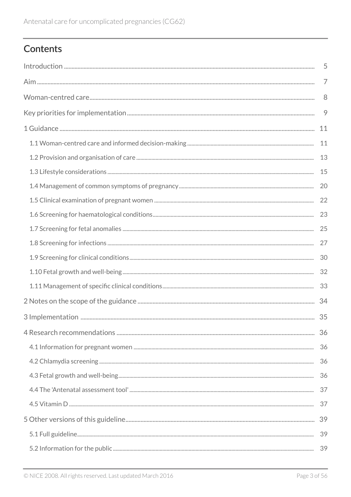# Contents

| 5   |
|-----|
| 7   |
| 8   |
| 9   |
| 11  |
| 11  |
| 13  |
| 15  |
| 20  |
|     |
|     |
| -25 |
|     |
| 30  |
| 32  |
| 33  |
| 34  |
|     |
| 36  |
| 36  |
| 36  |
| 36  |
| 37  |
| 37  |
| 39  |
| 39  |
| 39  |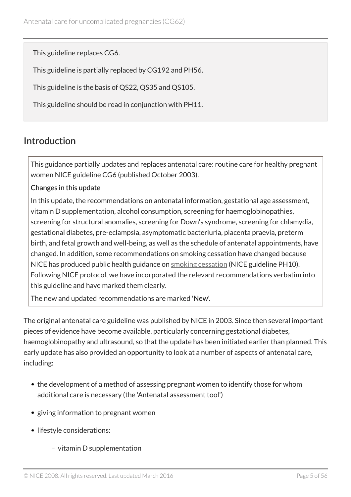This guideline replaces CG6.

This guideline is partially replaced by CG192 and PH56.

This guideline is the basis of QS22, QS35 and QS105.

This guideline should be read in conjunction with PH11.

### <span id="page-4-0"></span>Introduction

This guidance partially updates and replaces antenatal care: routine care for healthy pregnant women NICE guideline CG6 (published October 2003).

### Changes in this update

In this update, the recommendations on antenatal information, gestational age assessment, vitamin D supplementation, alcohol consumption, screening for haemoglobinopathies, screening for structural anomalies, screening for Down's syndrome, screening for chlamydia, gestational diabetes, pre-eclampsia, asymptomatic bacteriuria, placenta praevia, preterm birth, and fetal growth and well-being, as well as the schedule of antenatal appointments, have changed. In addition, some recommendations on smoking cessation have changed because NICE has produced public health guidance on [smoking cessation](http://www.nice.org.uk/guidance/ph10) (NICE guideline PH10). Following NICE protocol, we have incorporated the relevant recommendations verbatim into this guideline and have marked them clearly.

The new and updated recommendations are marked 'New'.

The original antenatal care guideline was published by NICE in 2003. Since then several important pieces of evidence have become available, particularly concerning gestational diabetes, haemoglobinopathy and ultrasound, so that the update has been initiated earlier than planned. This early update has also provided an opportunity to look at a number of aspects of antenatal care, including:

- the development of a method of assessing pregnant women to identify those for whom additional care is necessary (the 'Antenatal assessment tool')
- giving information to pregnant women
- lifestyle considerations:
	- vitamin D supplementation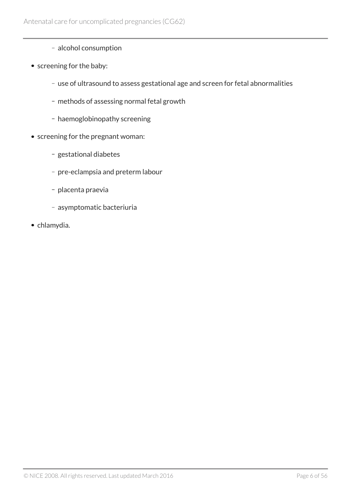- alcohol consumption
- screening for the baby:
	- use of ultrasound to assess gestational age and screen for fetal abnormalities
	- methods of assessing normal fetal growth
	- haemoglobinopathy screening
- screening for the pregnant woman:
	- gestational diabetes
	- pre-eclampsia and preterm labour
	- placenta praevia
	- asymptomatic bacteriuria
- chlamydia.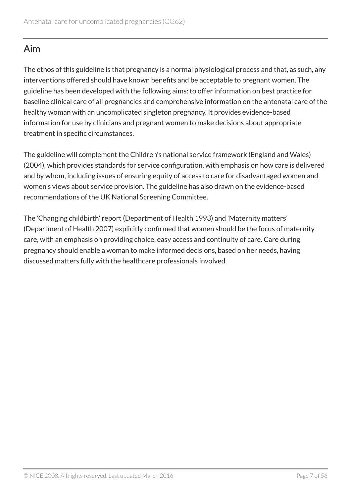# <span id="page-6-0"></span>Aim

The ethos of this guideline is that pregnancy is a normal physiological process and that, as such, any interventions offered should have known benefits and be acceptable to pregnant women. The guideline has been developed with the following aims: to offer information on best practice for baseline clinical care of all pregnancies and comprehensive information on the antenatal care of the healthy woman with an uncomplicated singleton pregnancy. It provides evidence-based information for use by clinicians and pregnant women to make decisions about appropriate treatment in specific circumstances.

The guideline will complement the Children's national service framework (England and Wales) (2004), which provides standards for service configuration, with emphasis on how care is delivered and by whom, including issues of ensuring equity of access to care for disadvantaged women and women's views about service provision. The guideline has also drawn on the evidence-based recommendations of the UK National Screening Committee.

The 'Changing childbirth' report (Department of Health 1993) and 'Maternity matters' (Department of Health 2007) explicitly confirmed that women should be the focus of maternity care, with an emphasis on providing choice, easy access and continuity of care. Care during pregnancy should enable a woman to make informed decisions, based on her needs, having discussed matters fully with the healthcare professionals involved.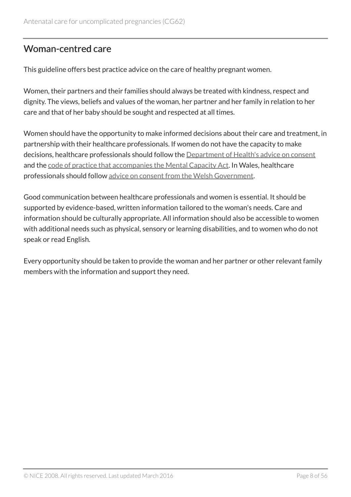# <span id="page-7-0"></span>Woman-centred care

This guideline offers best practice advice on the care of healthy pregnant women.

Women, their partners and their families should always be treated with kindness, respect and dignity. The views, beliefs and values of the woman, her partner and her family in relation to her care and that of her baby should be sought and respected at all times.

Women should have the opportunity to make informed decisions about their care and treatment, in partnership with their healthcare professionals. If women do not have the capacity to make decisions, healthcare professionals should follow the [Department of Health's advice on consent](https://www.gov.uk/government/publications/reference-guide-to-consent-for-examination-or-treatment-second-edition) and the [code of practice that accompanies the Mental Capacity Act](https://www.gov.uk/government/collections/mental-capacity-act-making-decisions). In Wales, healthcare professionals should follow [advice on consent from the Welsh Government.](http://www.wales.nhs.uk/consent)

Good communication between healthcare professionals and women is essential. It should be supported by evidence-based, written information tailored to the woman's needs. Care and information should be culturally appropriate. All information should also be accessible to women with additional needs such as physical, sensory or learning disabilities, and to women who do not speak or read English.

Every opportunity should be taken to provide the woman and her partner or other relevant family members with the information and support they need.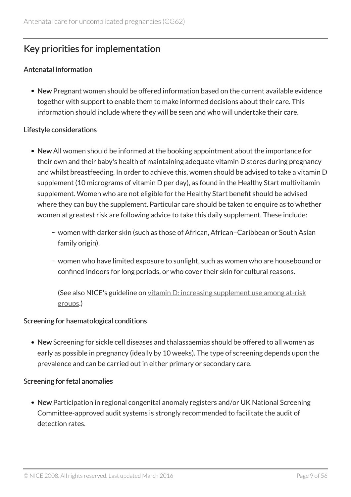# <span id="page-8-0"></span>Key priorities for implementation

#### Antenatal information

New Pregnant women should be offered information based on the current available evidence together with support to enable them to make informed decisions about their care. This information should include where they will be seen and who will undertake their care.

#### Lifestyle considerations

- New All women should be informed at the booking appointment about the importance for their own and their baby's health of maintaining adequate vitamin D stores during pregnancy and whilst breastfeeding. In order to achieve this, women should be advised to take a vitamin D supplement (10 micrograms of vitamin D per day), as found in the Healthy Start multivitamin supplement. Women who are not eligible for the Healthy Start benefit should be advised where they can buy the supplement. Particular care should be taken to enquire as to whether women at greatest risk are following advice to take this daily supplement. These include:
	- women with darker skin (such as those of African, African–Caribbean or South Asian family origin).
	- women who have limited exposure to sunlight, such as women who are housebound or confined indoors for long periods, or who cover their skin for cultural reasons.

(See also NICE's guideline on [vitamin D: increasing supplement use among at-risk](http://www.nice.org.uk/guidance/ph56) [groups](http://www.nice.org.uk/guidance/ph56).)

#### Screening for haematological conditions

New Screening for sickle cell diseases and thalassaemias should be offered to all women as early as possible in pregnancy (ideally by 10 weeks). The type of screening depends upon the prevalence and can be carried out in either primary or secondary care.

#### Screening for fetal anomalies

New Participation in regional congenital anomaly registers and/or UK National Screening Committee-approved audit systems is strongly recommended to facilitate the audit of detection rates.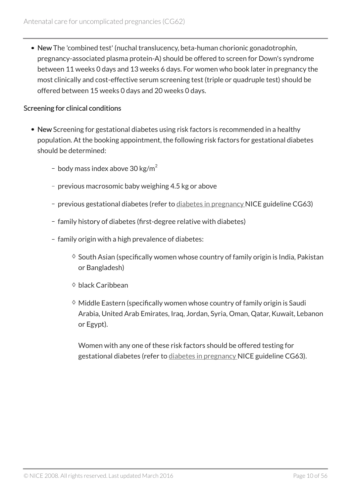• New The 'combined test' (nuchal translucency, beta-human chorionic gonadotrophin, pregnancy-associated plasma protein-A) should be offered to screen for Down's syndrome between 11 weeks 0 days and 13 weeks 6 days. For women who book later in pregnancy the most clinically and cost-effective serum screening test (triple or quadruple test) should be offered between 15 weeks 0 days and 20 weeks 0 days.

### Screening for clinical conditions

- New Screening for gestational diabetes using risk factors is recommended in a healthy population. At the booking appointment, the following risk factors for gestational diabetes should be determined:
	- body mass index above 30 kg/m<sup>2</sup>
	- previous macrosomic baby weighing 4.5 kg or above
	- previous gestational diabetes (refer to [diabetes in pregnancy](http://www.nice.org.uk/guidance/cg63) NICE guideline CG63)
	- family history of diabetes (first-degree relative with diabetes)
	- family origin with a high prevalence of diabetes:
		- $\diamond$  South Asian (specifically women whose country of family origin is India, Pakistan or Bangladesh)
		- black Caribbean
		- Middle Eastern (specifically women whose country of family origin is Saudi Arabia, United Arab Emirates, Iraq, Jordan, Syria, Oman, Qatar, Kuwait, Lebanon or Egypt).

Women with any one of these risk factors should be offered testing for gestational diabetes (refer to *[diabetes in pregnancy](http://www.nice.org.uk/guidance/cg63)* NICE guideline CG63).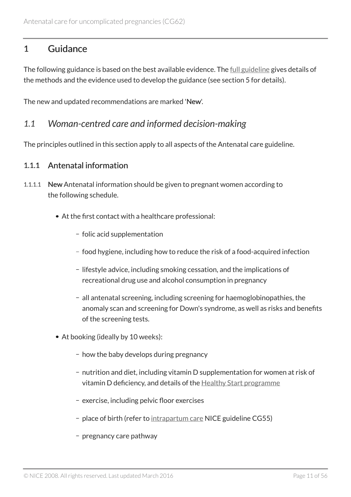# <span id="page-10-0"></span>1 Guidance

The following guidance is based on the best available evidence. The <u>[full guideline](http://www.nice.org.uk/guidance/cg62/evidence)</u> gives details of the methods and the evidence used to develop the guidance (see section 5 for details).

The new and updated recommendations are marked 'New'.

### <span id="page-10-1"></span>*1.1 Woman-centred care and informed decision-making*

The principles outlined in this section apply to all aspects of the Antenatal care guideline.

### 1.1.1 Antenatal information

- 1.1.1.1 New Antenatal information should be given to pregnant women according to the following schedule.
	- At the first contact with a healthcare professional:
		- $-$  folic acid supplementation
		- food hygiene, including how to reduce the risk of a food-acquired infection
		- lifestyle advice, including smoking cessation, and the implications of recreational drug use and alcohol consumption in pregnancy
		- all antenatal screening, including screening for haemoglobinopathies, the anomaly scan and screening for Down's syndrome, as well as risks and benefits of the screening tests.
	- At booking (ideally by 10 weeks):
		- how the baby develops during pregnancy
		- nutrition and diet, including vitamin D supplementation for women at risk of vitamin D deficiency, and details of the [Healthy Start programme](http://www.healthystart.nhs.uk/)
		- exercise, including pelvic floor exercises
		- place of birth (refer to [intrapartum care](http://www.nice.org.uk/guidance/cg55) NICE guideline CG55)
		- pregnancy care pathway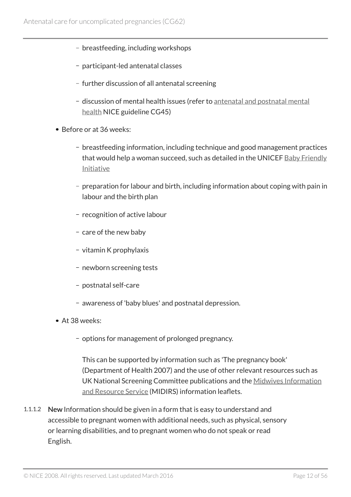- breastfeeding, including workshops
- participant-led antenatal classes
- further discussion of all antenatal screening
- discussion of mental health issues (refer to [antenatal and postnatal mental](http://www.nice.org.uk/guidance/cg45) [health](http://www.nice.org.uk/guidance/cg45) NICE guideline CG45)
- Before or at 36 weeks:
	- breastfeeding information, including technique and good management practices that would help a woman succeed, such as detailed in the UNICEF [Baby Friendly](http://www.babyfriendly.org.uk/page.asp?page=60) [Initiative](http://www.babyfriendly.org.uk/page.asp?page=60)
	- preparation for labour and birth, including information about coping with pain in labour and the birth plan
	- recognition of active labour
	- care of the new baby
	- vitamin K prophylaxis
	- newborn screening tests
	- postnatal self-care
	- awareness of 'baby blues' and postnatal depression.
- At 38 weeks:
	- options for management of prolonged pregnancy.

This can be supported by information such as 'The pregnancy book' (Department of Health 2007) and the use of other relevant resources such as UK National Screening Committee publications and the [Midwives Information](http://www.infochoice.org/) [and Resource Service](http://www.infochoice.org/) (MIDIRS) information leaflets.

1.1.1.2 New Information should be given in a form that is easy to understand and accessible to pregnant women with additional needs, such as physical, sensory or learning disabilities, and to pregnant women who do not speak or read English.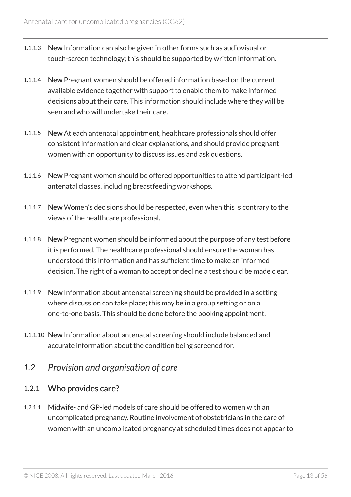- 1.1.1.3 New Information can also be given in other forms such as audiovisual or touch-screen technology; this should be supported by written information.
- 1.1.1.4 New Pregnant women should be offered information based on the current available evidence together with support to enable them to make informed decisions about their care. This information should include where they will be seen and who will undertake their care.
- 1.1.1.5 New At each antenatal appointment, healthcare professionals should offer consistent information and clear explanations, and should provide pregnant women with an opportunity to discuss issues and ask questions.
- 1.1.1.6 New Pregnant women should be offered opportunities to attend participant-led antenatal classes, including breastfeeding workshops.
- 1.1.1.7 New Women's decisions should be respected, even when this is contrary to the views of the healthcare professional.
- 1.1.1.8 New Pregnant women should be informed about the purpose of any test before it is performed. The healthcare professional should ensure the woman has understood this information and has sufficient time to make an informed decision. The right of a woman to accept or decline a test should be made clear.
- 1.1.1.9 New Information about antenatal screening should be provided in a setting where discussion can take place; this may be in a group setting or on a one-to-one basis. This should be done before the booking appointment.
- 1.1.1.10 New Information about antenatal screening should include balanced and accurate information about the condition being screened for.

### <span id="page-12-0"></span>*1.2 Provision and organisation of care*

### 1.2.1 Who provides care?

1.2.1.1 Midwife- and GP-led models of care should be offered to women with an uncomplicated pregnancy. Routine involvement of obstetricians in the care of women with an uncomplicated pregnancy at scheduled times does not appear to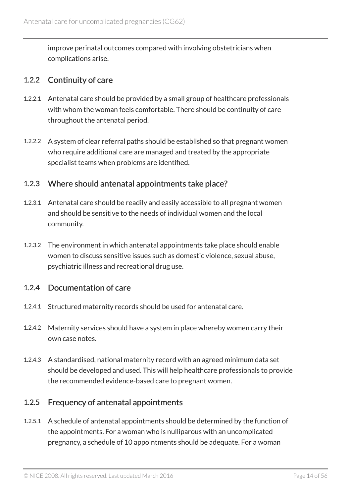improve perinatal outcomes compared with involving obstetricians when complications arise.

### 1.2.2 Continuity of care

- 1.2.2.1 Antenatal care should be provided by a small group of healthcare professionals with whom the woman feels comfortable. There should be continuity of care throughout the antenatal period.
- 1.2.2.2 A system of clear referral paths should be established so that pregnant women who require additional care are managed and treated by the appropriate specialist teams when problems are identified.

### 1.2.3 Where should antenatal appointments take place?

- 1.2.3.1 Antenatal care should be readily and easily accessible to all pregnant women and should be sensitive to the needs of individual women and the local community.
- 1.2.3.2 The environment in which antenatal appointments take place should enable women to discuss sensitive issues such as domestic violence, sexual abuse, psychiatric illness and recreational drug use.

### 1.2.4 Documentation of care

- 1.2.4.1 Structured maternity records should be used for antenatal care.
- 1.2.4.2 Maternity services should have a system in place whereby women carry their own case notes.
- 1.2.4.3 A standardised, national maternity record with an agreed minimum data set should be developed and used. This will help healthcare professionals to provide the recommended evidence-based care to pregnant women.

### 1.2.5 Frequency of antenatal appointments

1.2.5.1 A schedule of antenatal appointments should be determined by the function of the appointments. For a woman who is nulliparous with an uncomplicated pregnancy, a schedule of 10 appointments should be adequate. For a woman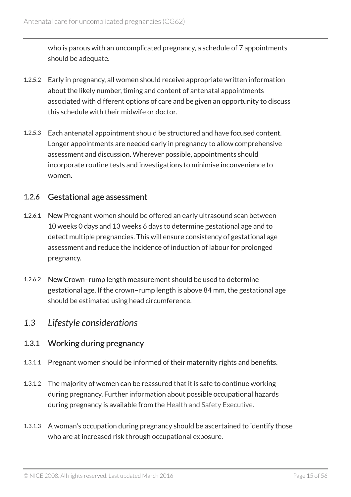who is parous with an uncomplicated pregnancy, a schedule of 7 appointments should be adequate.

- 1.2.5.2 Early in pregnancy, all women should receive appropriate written information about the likely number, timing and content of antenatal appointments associated with different options of care and be given an opportunity to discuss this schedule with their midwife or doctor.
- 1.2.5.3 Each antenatal appointment should be structured and have focused content. Longer appointments are needed early in pregnancy to allow comprehensive assessment and discussion. Wherever possible, appointments should incorporate routine tests and investigations to minimise inconvenience to women.

### 1.2.6 Gestational age assessment

- 1.2.6.1 New Pregnant women should be offered an early ultrasound scan between 10 weeks 0 days and 13 weeks 6 days to determine gestational age and to detect multiple pregnancies. This will ensure consistency of gestational age assessment and reduce the incidence of induction of labour for prolonged pregnancy.
- 1.2.6.2 New Crown–rump length measurement should be used to determine gestational age. If the crown–rump length is above 84 mm, the gestational age should be estimated using head circumference.

### <span id="page-14-0"></span>*1.3 Lifestyle considerations*

### 1.3.1 Working during pregnancy

- 1.3.1.1 Pregnant women should be informed of their maternity rights and benefits.
- 1.3.1.2 The majority of women can be reassured that it is safe to continue working during pregnancy. Further information about possible occupational hazards during pregnancy is available from the **[Health and Safety Executive](http://www.hse.gov.uk/)**.
- 1.3.1.3 A woman's occupation during pregnancy should be ascertained to identify those who are at increased risk through occupational exposure.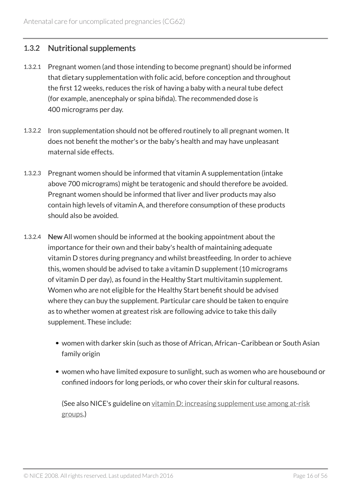### 1.3.2 Nutritional supplements

- 1.3.2.1 Pregnant women (and those intending to become pregnant) should be informed that dietary supplementation with folic acid, before conception and throughout the first 12 weeks, reduces the risk of having a baby with a neural tube defect (for example, anencephaly or spina bifida). The recommended dose is 400 micrograms per day.
- 1.3.2.2 Iron supplementation should not be offered routinely to all pregnant women. It does not benefit the mother's or the baby's health and may have unpleasant maternal side effects.
- 1.3.2.3 Pregnant women should be informed that vitamin A supplementation (intake above 700 micrograms) might be teratogenic and should therefore be avoided. Pregnant women should be informed that liver and liver products may also contain high levels of vitamin A, and therefore consumption of these products should also be avoided.
- 1.3.2.4 New All women should be informed at the booking appointment about the importance for their own and their baby's health of maintaining adequate vitamin D stores during pregnancy and whilst breastfeeding. In order to achieve this, women should be advised to take a vitamin D supplement (10 micrograms of vitamin D per day), as found in the Healthy Start multivitamin supplement. Women who are not eligible for the Healthy Start benefit should be advised where they can buy the supplement. Particular care should be taken to enquire as to whether women at greatest risk are following advice to take this daily supplement. These include:
	- women with darker skin (such as those of African, African–Caribbean or South Asian family origin
	- women who have limited exposure to sunlight, such as women who are housebound or confined indoors for long periods, or who cover their skin for cultural reasons.

(See also NICE's guideline on [vitamin D: increasing supplement use among at-risk](http://www.nice.org.uk/guidance/ph56) [groups.](http://www.nice.org.uk/guidance/ph56))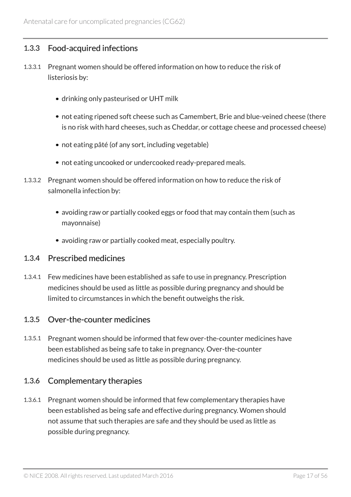### 1.3.3 Food-acquired infections

- 1.3.3.1 Pregnant women should be offered information on how to reduce the risk of listeriosis by:
	- drinking only pasteurised or UHT milk
	- not eating ripened soft cheese such as Camembert, Brie and blue-veined cheese (there is no risk with hard cheeses, such as Cheddar, or cottage cheese and processed cheese)
	- not eating pâté (of any sort, including vegetable)
	- not eating uncooked or undercooked ready-prepared meals.
- 1.3.3.2 Pregnant women should be offered information on how to reduce the risk of salmonella infection by:
	- avoiding raw or partially cooked eggs or food that may contain them (such as mayonnaise)
	- avoiding raw or partially cooked meat, especially poultry.

### 1.3.4 Prescribed medicines

1.3.4.1 Few medicines have been established as safe to use in pregnancy. Prescription medicines should be used as little as possible during pregnancy and should be limited to circumstances in which the benefit outweighs the risk.

### 1.3.5 Over-the-counter medicines

1.3.5.1 Pregnant women should be informed that few over-the-counter medicines have been established as being safe to take in pregnancy. Over-the-counter medicines should be used as little as possible during pregnancy.

### 1.3.6 Complementary therapies

1.3.6.1 Pregnant women should be informed that few complementary therapies have been established as being safe and effective during pregnancy. Women should not assume that such therapies are safe and they should be used as little as possible during pregnancy.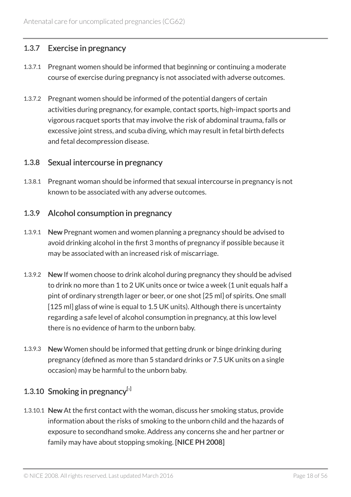### 1.3.7 Exercise in pregnancy

- 1.3.7.1 Pregnant women should be informed that beginning or continuing a moderate course of exercise during pregnancy is not associated with adverse outcomes.
- 1.3.7.2 Pregnant women should be informed of the potential dangers of certain activities during pregnancy, for example, contact sports, high-impact sports and vigorous racquet sports that may involve the risk of abdominal trauma, falls or excessive joint stress, and scuba diving, which may result in fetal birth defects and fetal decompression disease.

### 1.3.8 Sexual intercourse in pregnancy

1.3.8.1 Pregnant woman should be informed that sexual intercourse in pregnancy is not known to be associated with any adverse outcomes.

### 1.3.9 Alcohol consumption in pregnancy

- 1.3.9.1 New Pregnant women and women planning a pregnancy should be advised to avoid drinking alcohol in the first 3 months of pregnancy if possible because it may be associated with an increased risk of miscarriage.
- 1.3.9.2 New If women choose to drink alcohol during pregnancy they should be advised to drink no more than 1 to 2 UK units once or twice a week (1 unit equals half a pint of ordinary strength lager or beer, or one shot [25 ml] of spirits. One small [125 ml] glass of wine is equal to 1.5 UK units). Although there is uncertainty regarding a safe level of alcohol consumption in pregnancy, at this low level there is no evidence of harm to the unborn baby.
- 1.3.9.3 New Women should be informed that getting drunk or binge drinking during pregnancy (defined as more than 5 standard drinks or 7.5 UK units on a single occasion) may be harmful to the unborn baby.

### <span id="page-17-0"></span>[1](#page-32-1).3.10 Smoking in pregnancy $^{[1]}$

1.3.10.1 New At the first contact with the woman, discuss her smoking status, provide information about the risks of smoking to the unborn child and the hazards of exposure to secondhand smoke. Address any concerns she and her partner or family may have about stopping smoking. [NICE PH 2008]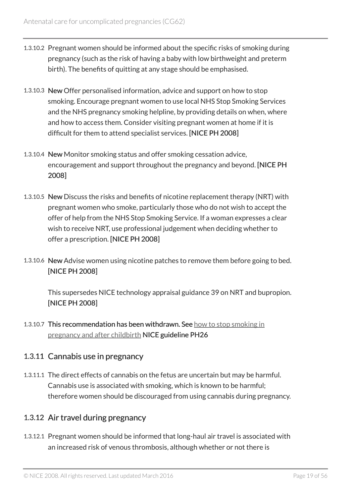- 1.3.10.2 Pregnant women should be informed about the specific risks of smoking during pregnancy (such as the risk of having a baby with low birthweight and preterm birth). The benefits of quitting at any stage should be emphasised.
- 1.3.10.3 New Offer personalised information, advice and support on how to stop smoking. Encourage pregnant women to use local NHS Stop Smoking Services and the NHS pregnancy smoking helpline, by providing details on when, where and how to access them. Consider visiting pregnant women at home if it is difficult for them to attend specialist services. [NICE PH 2008]
- 1.3.10.4 New Monitor smoking status and offer smoking cessation advice, encouragement and support throughout the pregnancy and beyond. [NICE PH 2008]
- 1.3.10.5 New Discuss the risks and benefits of nicotine replacement therapy (NRT) with pregnant women who smoke, particularly those who do not wish to accept the offer of help from the NHS Stop Smoking Service. If a woman expresses a clear wish to receive NRT, use professional judgement when deciding whether to offer a prescription. [NICE PH 2008]
- 1.3.10.6 New Advise women using nicotine patches to remove them before going to bed. [NICE PH 2008]

This supersedes NICE technology appraisal guidance 39 on NRT and bupropion. [NICE PH 2008]

1.3.10.7 This recommendation has been withdrawn. See [how to stop smoking in](http://www.nice.org.uk/guidance/ph26) [pregnancy and after childbirth](http://www.nice.org.uk/guidance/ph26) NICE guideline PH26

### 1.3.11 Cannabis use in pregnancy

1.3.11.1 The direct effects of cannabis on the fetus are uncertain but may be harmful. Cannabis use is associated with smoking, which is known to be harmful; therefore women should be discouraged from using cannabis during pregnancy.

### 1.3.12 Air travel during pregnancy

1.3.12.1 Pregnant women should be informed that long-haul air travel is associated with an increased risk of venous thrombosis, although whether or not there is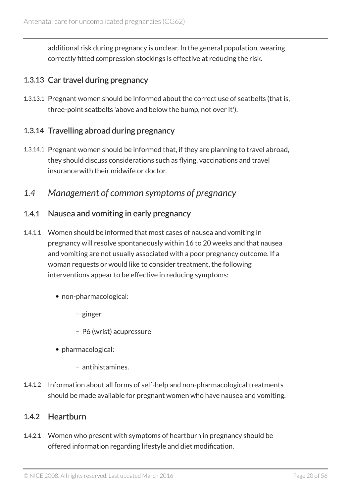additional risk during pregnancy is unclear. In the general population, wearing correctly fitted compression stockings is effective at reducing the risk.

### 1.3.13 Car travel during pregnancy

1.3.13.1 Pregnant women should be informed about the correct use of seatbelts (that is, three-point seatbelts 'above and below the bump, not over it').

### 1.3.14 Travelling abroad during pregnancy

- 1.3.14.1 Pregnant women should be informed that, if they are planning to travel abroad, they should discuss considerations such as flying, vaccinations and travel insurance with their midwife or doctor.
- <span id="page-19-0"></span>*1.4 Management of common symptoms of pregnancy*

### 1.4.1 Nausea and vomiting in early pregnancy

- 1.4.1.1 Women should be informed that most cases of nausea and vomiting in pregnancy will resolve spontaneously within 16 to 20 weeks and that nausea and vomiting are not usually associated with a poor pregnancy outcome. If a woman requests or would like to consider treatment, the following interventions appear to be effective in reducing symptoms:
	- non-pharmacological:
		- ginger
		- P6 (wrist) acupressure
	- pharmacological:
		- antihistamines.
- 1.4.1.2 Information about all forms of self-help and non-pharmacological treatments should be made available for pregnant women who have nausea and vomiting.

### 1.4.2 Heartburn

1.4.2.1 Women who present with symptoms of heartburn in pregnancy should be offered information regarding lifestyle and diet modification.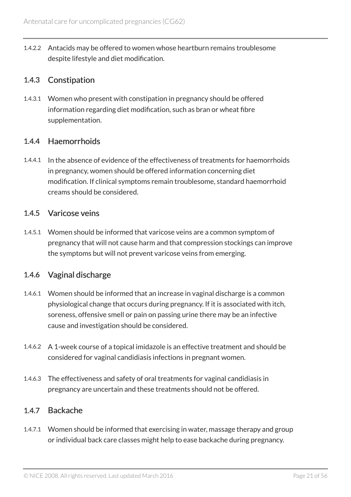1.4.2.2 Antacids may be offered to women whose heartburn remains troublesome despite lifestyle and diet modification.

### 1.4.3 Constipation

1.4.3.1 Women who present with constipation in pregnancy should be offered information regarding diet modification, such as bran or wheat fibre supplementation.

### 1.4.4 Haemorrhoids

1.4.4.1 In the absence of evidence of the effectiveness of treatments for haemorrhoids in pregnancy, women should be offered information concerning diet modification. If clinical symptoms remain troublesome, standard haemorrhoid creams should be considered.

### 1.4.5 Varicose veins

1.4.5.1 Women should be informed that varicose veins are a common symptom of pregnancy that will not cause harm and that compression stockings can improve the symptoms but will not prevent varicose veins from emerging.

### 1.4.6 Vaginal discharge

- 1.4.6.1 Women should be informed that an increase in vaginal discharge is a common physiological change that occurs during pregnancy. If it is associated with itch, soreness, offensive smell or pain on passing urine there may be an infective cause and investigation should be considered.
- 1.4.6.2 A 1-week course of a topical imidazole is an effective treatment and should be considered for vaginal candidiasis infections in pregnant women.
- 1.4.6.3 The effectiveness and safety of oral treatments for vaginal candidiasis in pregnancy are uncertain and these treatments should not be offered.

### 1.4.7 Backache

1.4.7.1 Women should be informed that exercising in water, massage therapy and group or individual back care classes might help to ease backache during pregnancy.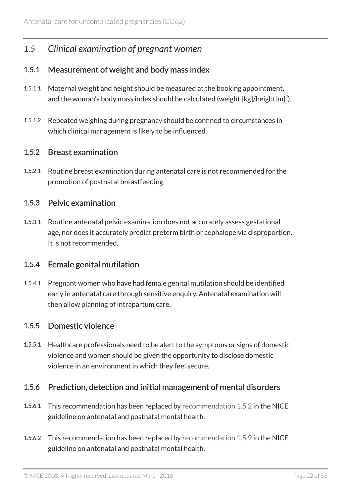# <span id="page-21-0"></span>*1.5 Clinical examination of pregnant women*

### 1.5.1 Measurement of weight and body mass index

- 1.5.1.1 Maternal weight and height should be measured at the booking appointment, and the woman's body mass index should be calculated (weight [kg]/height[m]<sup>2</sup>).
- 1.5.1.2 Repeated weighing during pregnancy should be confined to circumstances in which clinical management is likely to be influenced.

### 1.5.2 Breast examination

1.5.2.1 Routine breast examination during antenatal care is not recommended for the promotion of postnatal breastfeeding.

### 1.5.3 Pelvic examination

1.5.3.1 Routine antenatal pelvic examination does not accurately assess gestational age, nor does it accurately predict preterm birth or cephalopelvic disproportion. It is not recommended.

### 1.5.4 Female genital mutilation

1.5.4.1 Pregnant women who have had female genital mutilation should be identified early in antenatal care through sensitive enquiry. Antenatal examination will then allow planning of intrapartum care.

### 1.5.5 Domestic violence

1.5.5.1 Healthcare professionals need to be alert to the symptoms or signs of domestic violence and women should be given the opportunity to disclose domestic violence in an environment in which they feel secure.

### 1.5.6 Prediction, detection and initial management of mental disorders

- 1.5.6.1 This recommendation has been replaced by [recommendation 1.5.2](http://www.nice.org.uk/guidance/cg192/chapter/recommendations#recognising-mental-health-problems-in-pregnancy-and-the-postnatal-period-and-referral-2) in the NICE guideline on antenatal and postnatal mental health.
- 1.5.6.2 This recommendation has been replaced by [recommendation 1.5.9](http://www.nice.org.uk/guidance/cg192/chapter/recommendations#recognising-mental-health-problems-in-pregnancy-and-the-postnatal-period-and-referral-2) in the NICE guideline on antenatal and postnatal mental health.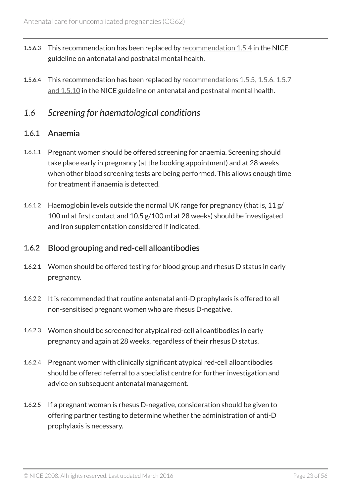- 1.5.6.3 This recommendation has been replaced by [recommendation 1.5.4](http://www.nice.org.uk/guidance/cg192/chapter/recommendations#recognising-mental-health-problems-in-pregnancy-and-the-postnatal-period-and-referral-2) in the NICE guideline on antenatal and postnatal mental health.
- 1.5.6.4 This recommendation has been replaced by [recommendations 1.5.5, 1.5.6, 1.5.7](http://www.nice.org.uk/guidance/cg192/chapter/recommendations#recognising-mental-health-problems-in-pregnancy-and-the-postnatal-period-and-referral-2) [and 1.5.10](http://www.nice.org.uk/guidance/cg192/chapter/recommendations#recognising-mental-health-problems-in-pregnancy-and-the-postnatal-period-and-referral-2) in the NICE guideline on antenatal and postnatal mental health.

### <span id="page-22-0"></span>*1.6 Screening for haematological conditions*

### 1.6.1 Anaemia

- 1.6.1.1 Pregnant women should be offered screening for anaemia. Screening should take place early in pregnancy (at the booking appointment) and at 28 weeks when other blood screening tests are being performed. This allows enough time for treatment if anaemia is detected.
- 1.6.1.2 Haemoglobin levels outside the normal UK range for pregnancy (that is, 11 g/ 100 ml at first contact and 10.5 g/100 ml at 28 weeks) should be investigated and iron supplementation considered if indicated.

### 1.6.2 Blood grouping and red-cell alloantibodies

- 1.6.2.1 Women should be offered testing for blood group and rhesus D status in early pregnancy.
- 1.6.2.2 It is recommended that routine antenatal anti-D prophylaxis is offered to all non-sensitised pregnant women who are rhesus D-negative.
- 1.6.2.3 Women should be screened for atypical red-cell alloantibodies in early pregnancy and again at 28 weeks, regardless of their rhesus D status.
- 1.6.2.4 Pregnant women with clinically significant atypical red-cell alloantibodies should be offered referral to a specialist centre for further investigation and advice on subsequent antenatal management.
- 1.6.2.5 If a pregnant woman is rhesus D-negative, consideration should be given to offering partner testing to determine whether the administration of anti-D prophylaxis is necessary.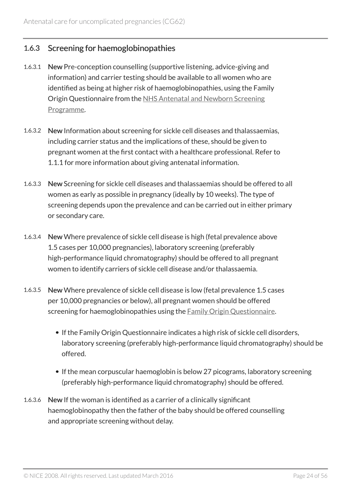### 1.6.3 Screening for haemoglobinopathies

- 1.6.3.1 New Pre-conception counselling (supportive listening, advice-giving and information) and carrier testing should be available to all women who are identified as being at higher risk of haemoglobinopathies, using the Family Origin Questionnaire from the [NHS Antenatal and Newborn Screening](http://sct.screening.nhs.uk/) [Programme.](http://sct.screening.nhs.uk/)
- 1.6.3.2 New Information about screening for sickle cell diseases and thalassaemias, including carrier status and the implications of these, should be given to pregnant women at the first contact with a healthcare professional. Refer to 1.1.1 for more information about giving antenatal information.
- 1.6.3.3 New Screening for sickle cell diseases and thalassaemias should be offered to all women as early as possible in pregnancy (ideally by 10 weeks). The type of screening depends upon the prevalence and can be carried out in either primary or secondary care.
- 1.6.3.4 New Where prevalence of sickle cell disease is high (fetal prevalence above 1.5 cases per 10,000 pregnancies), laboratory screening (preferably high-performance liquid chromatography) should be offered to all pregnant women to identify carriers of sickle cell disease and/or thalassaemia.
- 1.6.3.5 New Where prevalence of sickle cell disease is low (fetal prevalence 1.5 cases per 10,000 pregnancies or below), all pregnant women should be offered screening for haemoglobinopathies using the **Family Origin Questionnaire**.
	- If the Family Origin Questionnaire indicates a high risk of sickle cell disorders, laboratory screening (preferably high-performance liquid chromatography) should be offered.
	- If the mean corpuscular haemoglobin is below 27 picograms, laboratory screening (preferably high-performance liquid chromatography) should be offered.
- 1.6.3.6 New If the woman is identified as a carrier of a clinically significant haemoglobinopathy then the father of the baby should be offered counselling and appropriate screening without delay.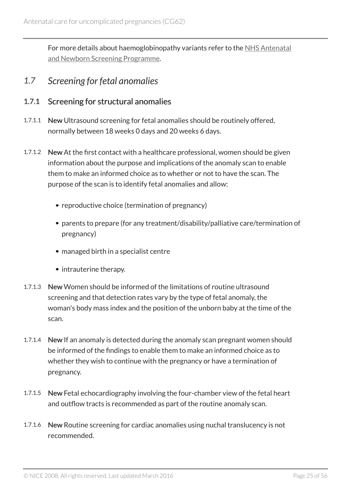For more details about haemoglobinopathy variants refer to the [NHS Antenatal](http://sct.screening.nhs.uk/) [and Newborn Screening Programme.](http://sct.screening.nhs.uk/)

<span id="page-24-0"></span>*1.7 Screening for fetal anomalies*

### 1.7.1 Screening for structural anomalies

- 1.7.1.1 New Ultrasound screening for fetal anomalies should be routinely offered, normally between 18 weeks 0 days and 20 weeks 6 days.
- 1.7.1.2 New At the first contact with a healthcare professional, women should be given information about the purpose and implications of the anomaly scan to enable them to make an informed choice as to whether or not to have the scan. The purpose of the scan is to identify fetal anomalies and allow:
	- reproductive choice (termination of pregnancy)
	- parents to prepare (for any treatment/disability/palliative care/termination of pregnancy)
	- managed birth in a specialist centre
	- intrauterine therapy.
- 1.7.1.3 New Women should be informed of the limitations of routine ultrasound screening and that detection rates vary by the type of fetal anomaly, the woman's body mass index and the position of the unborn baby at the time of the scan.
- 1.7.1.4 New If an anomaly is detected during the anomaly scan pregnant women should be informed of the findings to enable them to make an informed choice as to whether they wish to continue with the pregnancy or have a termination of pregnancy.
- 1.7.1.5 New Fetal echocardiography involving the four-chamber view of the fetal heart and outflow tracts is recommended as part of the routine anomaly scan.
- 1.7.1.6 New Routine screening for cardiac anomalies using nuchal translucency is not recommended.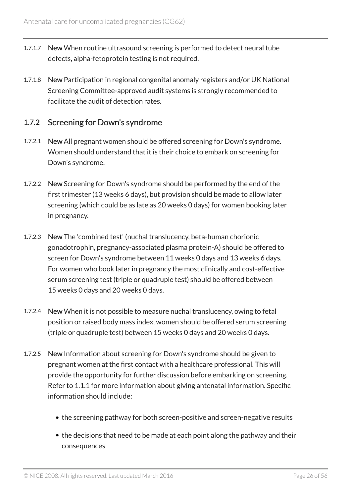- 1.7.1.7 New When routine ultrasound screening is performed to detect neural tube defects, alpha-fetoprotein testing is not required.
- 1.7.1.8 New Participation in regional congenital anomaly registers and/or UK National Screening Committee-approved audit systems is strongly recommended to facilitate the audit of detection rates.

### 1.7.2 Screening for Down's syndrome

- 1.7.2.1 New All pregnant women should be offered screening for Down's syndrome. Women should understand that it is their choice to embark on screening for Down's syndrome.
- 1.7.2.2 New Screening for Down's syndrome should be performed by the end of the first trimester (13 weeks 6 days), but provision should be made to allow later screening (which could be as late as 20 weeks 0 days) for women booking later in pregnancy.
- 1.7.2.3 New The 'combined test' (nuchal translucency, beta-human chorionic gonadotrophin, pregnancy-associated plasma protein-A) should be offered to screen for Down's syndrome between 11 weeks 0 days and 13 weeks 6 days. For women who book later in pregnancy the most clinically and cost-effective serum screening test (triple or quadruple test) should be offered between 15 weeks 0 days and 20 weeks 0 days.
- 1.7.2.4 New When it is not possible to measure nuchal translucency, owing to fetal position or raised body mass index, women should be offered serum screening (triple or quadruple test) between 15 weeks 0 days and 20 weeks 0 days.
- 1.7.2.5 New Information about screening for Down's syndrome should be given to pregnant women at the first contact with a healthcare professional. This will provide the opportunity for further discussion before embarking on screening. Refer to 1.1.1 for more information about giving antenatal information. Specific information should include:
	- the screening pathway for both screen-positive and screen-negative results
	- the decisions that need to be made at each point along the pathway and their consequences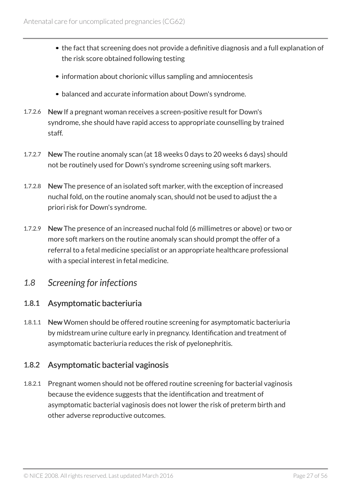- the fact that screening does not provide a definitive diagnosis and a full explanation of the risk score obtained following testing
- information about chorionic villus sampling and amniocentesis
- balanced and accurate information about Down's syndrome.
- 1.7.2.6 New If a pregnant woman receives a screen-positive result for Down's syndrome, she should have rapid access to appropriate counselling by trained staff.
- 1.7.2.7 New The routine anomaly scan (at 18 weeks 0 days to 20 weeks 6 days) should not be routinely used for Down's syndrome screening using soft markers.
- 1.7.2.8 New The presence of an isolated soft marker, with the exception of increased nuchal fold, on the routine anomaly scan, should not be used to adjust the a priori risk for Down's syndrome.
- 1.7.2.9 New The presence of an increased nuchal fold (6 millimetres or above) or two or more soft markers on the routine anomaly scan should prompt the offer of a referral to a fetal medicine specialist or an appropriate healthcare professional with a special interest in fetal medicine.

### <span id="page-26-0"></span>*1.8 Screening for infections*

### 1.8.1 Asymptomatic bacteriuria

1.8.1.1 New Women should be offered routine screening for asymptomatic bacteriuria by midstream urine culture early in pregnancy. Identification and treatment of asymptomatic bacteriuria reduces the risk of pyelonephritis.

### 1.8.2 Asymptomatic bacterial vaginosis

1.8.2.1 Pregnant women should not be offered routine screening for bacterial vaginosis because the evidence suggests that the identification and treatment of asymptomatic bacterial vaginosis does not lower the risk of preterm birth and other adverse reproductive outcomes.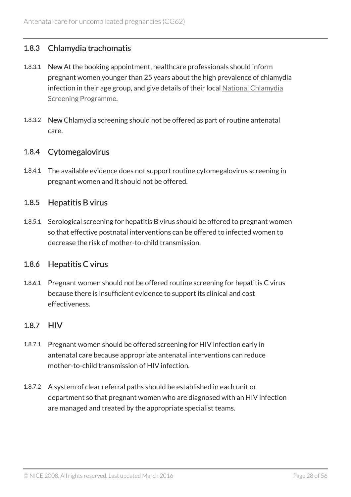### 1.8.3 Chlamydia trachomatis

- 1.8.3.1 New At the booking appointment, healthcare professionals should inform pregnant women younger than 25 years about the high prevalence of chlamydia infection in their age group, and give details of their local [National Chlamydia](http://www.chlamydiascreening.nhs.uk/) [Screening Programme](http://www.chlamydiascreening.nhs.uk/).
- 1.8.3.2 New Chlamydia screening should not be offered as part of routine antenatal care.

### 1.8.4 Cytomegalovirus

1.8.4.1 The available evidence does not support routine cytomegalovirus screening in pregnant women and it should not be offered.

### 1.8.5 Hepatitis B virus

1.8.5.1 Serological screening for hepatitis B virus should be offered to pregnant women so that effective postnatal interventions can be offered to infected women to decrease the risk of mother-to-child transmission.

### 1.8.6 Hepatitis C virus

1.8.6.1 Pregnant women should not be offered routine screening for hepatitis C virus because there is insufficient evidence to support its clinical and cost effectiveness.

### 1.8.7 HIV

- 1.8.7.1 Pregnant women should be offered screening for HIV infection early in antenatal care because appropriate antenatal interventions can reduce mother-to-child transmission of HIV infection.
- 1.8.7.2 A system of clear referral paths should be established in each unit or department so that pregnant women who are diagnosed with an HIV infection are managed and treated by the appropriate specialist teams.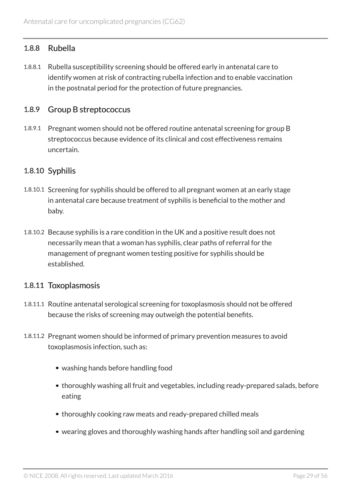### 1.8.8 Rubella

1.8.8.1 Rubella susceptibility screening should be offered early in antenatal care to identify women at risk of contracting rubella infection and to enable vaccination in the postnatal period for the protection of future pregnancies.

### 1.8.9 Group B streptococcus

1.8.9.1 Pregnant women should not be offered routine antenatal screening for group B streptococcus because evidence of its clinical and cost effectiveness remains uncertain.

### 1.8.10 Syphilis

- 1.8.10.1 Screening for syphilis should be offered to all pregnant women at an early stage in antenatal care because treatment of syphilis is beneficial to the mother and baby.
- 1.8.10.2 Because syphilis is a rare condition in the UK and a positive result does not necessarily mean that a woman has syphilis, clear paths of referral for the management of pregnant women testing positive for syphilis should be established.

### 1.8.11 Toxoplasmosis

- 1.8.11.1 Routine antenatal serological screening for toxoplasmosis should not be offered because the risks of screening may outweigh the potential benefits.
- 1.8.11.2 Pregnant women should be informed of primary prevention measures to avoid toxoplasmosis infection, such as:
	- washing hands before handling food
	- thoroughly washing all fruit and vegetables, including ready-prepared salads, before eating
	- thoroughly cooking raw meats and ready-prepared chilled meals
	- wearing gloves and thoroughly washing hands after handling soil and gardening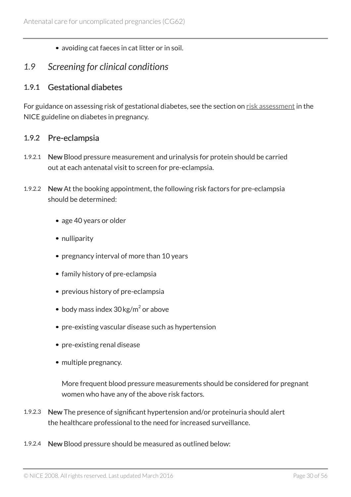• avoiding cat faeces in cat litter or in soil.

### <span id="page-29-0"></span>*1.9 Screening for clinical conditions*

### 1.9.1 Gestational diabetes

For guidance on assessing risk of gestational diabetes, see the section on [risk assessment](http://www.nice.org.uk/guidance/NG3/chapter/1-Recommendations#gestational-diabetes-2) in the NICE guideline on diabetes in pregnancy.

### 1.9.2 Pre-eclampsia

- 1.9.2.1 New Blood pressure measurement and urinalysis for protein should be carried out at each antenatal visit to screen for pre-eclampsia.
- 1.9.2.2 New At the booking appointment, the following risk factors for pre-eclampsia should be determined:
	- age 40 years or older
	- nulliparity
	- pregnancy interval of more than 10 years
	- family history of pre-eclampsia
	- previous history of pre-eclampsia
	- body mass index  $30\,\mathrm{kg/m^2}$  or above
	- pre-existing vascular disease such as hypertension
	- pre-existing renal disease
	- multiple pregnancy.

More frequent blood pressure measurements should be considered for pregnant women who have any of the above risk factors.

- 1.9.2.3 New The presence of significant hypertension and/or proteinuria should alert the healthcare professional to the need for increased surveillance.
- 1.9.2.4 New Blood pressure should be measured as outlined below: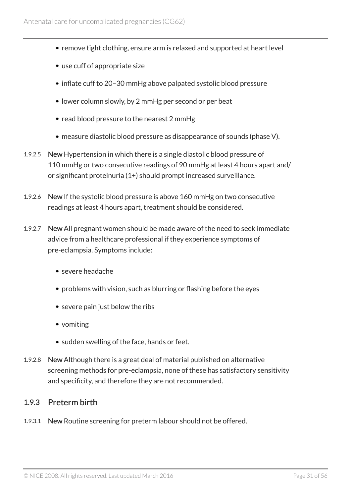- remove tight clothing, ensure arm is relaxed and supported at heart level
- use cuff of appropriate size
- inflate cuff to 20-30 mmHg above palpated systolic blood pressure
- lower column slowly, by 2 mmHg per second or per beat
- read blood pressure to the nearest 2 mmHg
- measure diastolic blood pressure as disappearance of sounds (phase V).
- 1.9.2.5 New Hypertension in which there is a single diastolic blood pressure of 110 mmHg or two consecutive readings of 90 mmHg at least 4 hours apart and/ or significant proteinuria (1+) should prompt increased surveillance.
- 1.9.2.6 New If the systolic blood pressure is above 160 mmHg on two consecutive readings at least 4 hours apart, treatment should be considered.
- 1.9.2.7 New All pregnant women should be made aware of the need to seek immediate advice from a healthcare professional if they experience symptoms of pre-eclampsia. Symptoms include:
	- severe headache
	- problems with vision, such as blurring or flashing before the eyes
	- severe pain just below the ribs
	- vomiting
	- sudden swelling of the face, hands or feet.
- 1.9.2.8 New Although there is a great deal of material published on alternative screening methods for pre-eclampsia, none of these has satisfactory sensitivity and specificity, and therefore they are not recommended.

### 1.9.3 Preterm birth

1.9.3.1 New Routine screening for preterm labour should not be offered.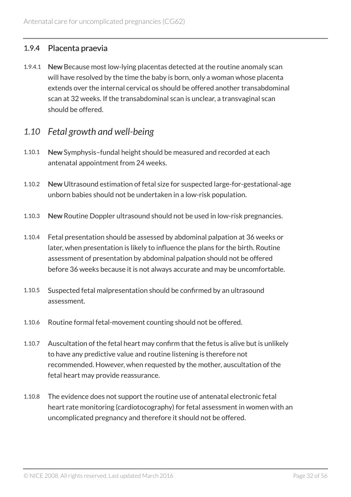### 1.9.4 Placenta praevia

1.9.4.1 New Because most low-lying placentas detected at the routine anomaly scan will have resolved by the time the baby is born, only a woman whose placenta extends over the internal cervical os should be offered another transabdominal scan at 32 weeks. If the transabdominal scan is unclear, a transvaginal scan should be offered.

### <span id="page-31-0"></span>*1.10 Fetal growth and well-being*

- 1.10.1 New Symphysis–fundal height should be measured and recorded at each antenatal appointment from 24 weeks.
- 1.10.2 New Ultrasound estimation of fetal size for suspected large-for-gestational-age unborn babies should not be undertaken in a low-risk population.
- 1.10.3 New Routine Doppler ultrasound should not be used in low-risk pregnancies.
- 1.10.4 Fetal presentation should be assessed by abdominal palpation at 36 weeks or later, when presentation is likely to influence the plans for the birth. Routine assessment of presentation by abdominal palpation should not be offered before 36 weeks because it is not always accurate and may be uncomfortable.
- 1.10.5 Suspected fetal malpresentation should be confirmed by an ultrasound assessment.
- 1.10.6 Routine formal fetal-movement counting should not be offered.
- 1.10.7 Auscultation of the fetal heart may confirm that the fetus is alive but is unlikely to have any predictive value and routine listening is therefore not recommended. However, when requested by the mother, auscultation of the fetal heart may provide reassurance.
- 1.10.8 The evidence does not support the routine use of antenatal electronic fetal heart rate monitoring (cardiotocography) for fetal assessment in women with an uncomplicated pregnancy and therefore it should not be offered.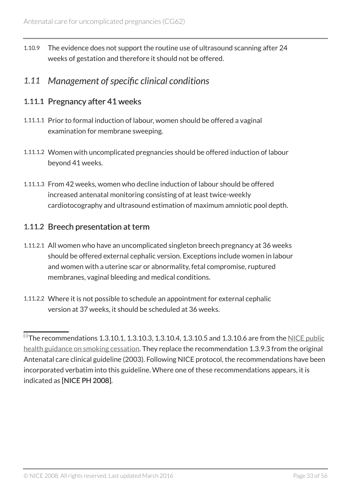- 1.10.9 The evidence does not support the routine use of ultrasound scanning after 24 weeks of gestation and therefore it should not be offered.
- <span id="page-32-0"></span>*1.11 Management of specific clinical conditions*

### 1.11.1 Pregnancy after 41 weeks

- 1.11.1.1 Prior to formal induction of labour, women should be offered a vaginal examination for membrane sweeping.
- 1.11.1.2 Women with uncomplicated pregnancies should be offered induction of labour beyond 41 weeks.
- 1.11.1.3 From 42 weeks, women who decline induction of labour should be offered increased antenatal monitoring consisting of at least twice-weekly cardiotocography and ultrasound estimation of maximum amniotic pool depth.

### 1.11.2 Breech presentation at term

- 1.11.2.1 All women who have an uncomplicated singleton breech pregnancy at 36 weeks should be offered external cephalic version. Exceptions include women in labour and women with a uterine scar or abnormality, fetal compromise, ruptured membranes, vaginal bleeding and medical conditions.
- 1.11.2.2 Where it is not possible to schedule an appointment for external cephalic version at 37 weeks, it should be scheduled at 36 weeks.

<span id="page-32-1"></span> $^{\text{\tiny{[1]}}}$  $^{\text{\tiny{[1]}}}$  $^{\text{\tiny{[1]}}}$ The recommendations 1.3.10.1, 1.3.10.3, 1.3.10.4, 1.3.10.5 and 1.3.10.6 are from the <u>[NICE public](http://www.nice.org.uk/guidance/ph10)</u> [health guidance on smoking cessation](http://www.nice.org.uk/guidance/ph10). They replace the recommendation 1.3.9.3 from the original Antenatal care clinical guideline (2003). Following NICE protocol, the recommendations have been incorporated verbatim into this guideline. Where one of these recommendations appears, it is indicated as [NICE PH 2008].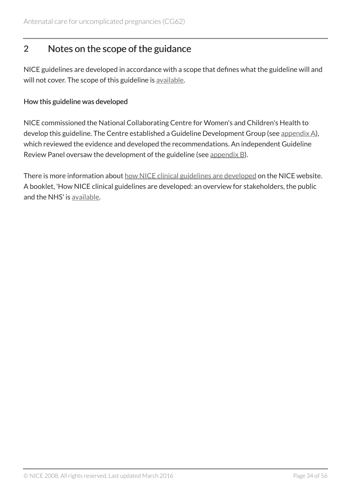# <span id="page-33-0"></span>2 Notes on the scope of the guidance

NICE guidelines are developed in accordance with a scope that defines what the guideline will and will not cover. The scope of this guideline is [available](http://www.nice.org.uk/guidance/cg62/documents).

### How this guideline was developed

NICE commissioned the National Collaborating Centre for Women's and Children's Health to develop this guideline. The Centre established a Guideline Development Group (see appendix  $A$ ), which reviewed the evidence and developed the recommendations. An independent Guideline Review Panel oversaw the development of the guideline (see [appendix B](http://www.nice.org.uk/guidance/cg62/chapter/appendix-b-the-guideline-review-panel)).

There is more information about [how NICE clinical guidelines are developed](http://www.nice.org.uk/about/what-we-do/our-programmes/nice-guidance/nice-guidelines/nice-clinical-guidelines) on the NICE website. A booklet, 'How NICE clinical guidelines are developed: an overview for stakeholders, the public and the NHS' is [available](http://www.nice.org.uk/article/PMG6F/chapter/About%20NICE%20guidance).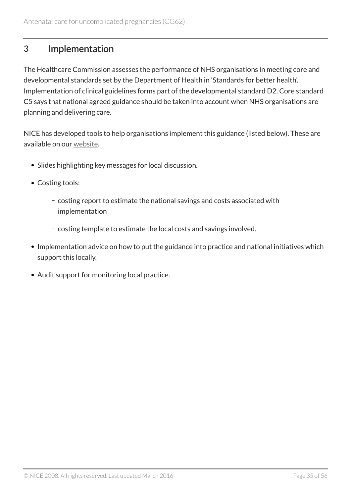# <span id="page-34-0"></span>3 Implementation

The Healthcare Commission assesses the performance of NHS organisations in meeting core and developmental standards set by the Department of Health in 'Standards for better health'. Implementation of clinical guidelines forms part of the developmental standard D2. Core standard C5 says that national agreed guidance should be taken into account when NHS organisations are planning and delivering care.

NICE has developed tools to help organisations implement this guidance (listed below). These are available on our [website](http://www.nice.org.uk/guidance/cg62/resources).

- Slides highlighting key messages for local discussion.
- Costing tools:
	- costing report to estimate the national savings and costs associated with implementation
	- costing template to estimate the local costs and savings involved.
- Implementation advice on how to put the guidance into practice and national initiatives which support this locally.
- Audit support for monitoring local practice.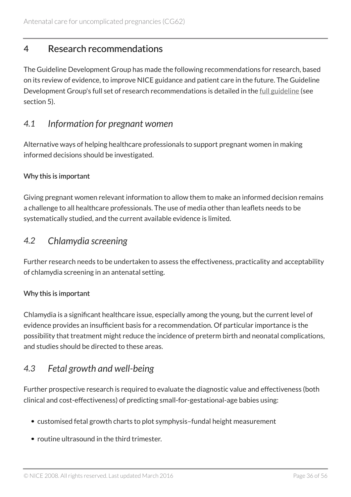# <span id="page-35-0"></span>4 Research recommendations

The Guideline Development Group has made the following recommendations for research, based on its review of evidence, to improve NICE guidance and patient care in the future. The Guideline Development Group's full set of research recommendations is detailed in the [full guideline](http://www.nice.org.uk/guidance/cg62/evidence) (see section 5).

### <span id="page-35-1"></span>*4.1 Information for pregnant women*

Alternative ways of helping healthcare professionals to support pregnant women in making informed decisions should be investigated.

### Why this is important

Giving pregnant women relevant information to allow them to make an informed decision remains a challenge to all healthcare professionals. The use of media other than leaflets needs to be systematically studied, and the current available evidence is limited.

### <span id="page-35-2"></span>*4.2 Chlamydia screening*

Further research needs to be undertaken to assess the effectiveness, practicality and acceptability of chlamydia screening in an antenatal setting.

### Why this is important

Chlamydia is a significant healthcare issue, especially among the young, but the current level of evidence provides an insufficient basis for a recommendation. Of particular importance is the possibility that treatment might reduce the incidence of preterm birth and neonatal complications, and studies should be directed to these areas.

### <span id="page-35-3"></span>*4.3 Fetal growth and well-being*

Further prospective research is required to evaluate the diagnostic value and effectiveness (both clinical and cost-effectiveness) of predicting small-for-gestational-age babies using:

- customised fetal growth charts to plot symphysis–fundal height measurement
- routine ultrasound in the third trimester.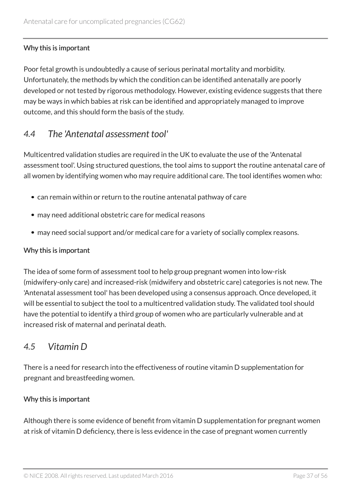### Why this is important

Poor fetal growth is undoubtedly a cause of serious perinatal mortality and morbidity. Unfortunately, the methods by which the condition can be identified antenatally are poorly developed or not tested by rigorous methodology. However, existing evidence suggests that there may be ways in which babies at risk can be identified and appropriately managed to improve outcome, and this should form the basis of the study.

### <span id="page-36-0"></span>*4.4 The 'Antenatal assessment tool'*

Multicentred validation studies are required in the UK to evaluate the use of the 'Antenatal assessment tool'. Using structured questions, the tool aims to support the routine antenatal care of all women by identifying women who may require additional care. The tool identifies women who:

- can remain within or return to the routine antenatal pathway of care
- may need additional obstetric care for medical reasons
- may need social support and/or medical care for a variety of socially complex reasons.

### Why this is important

The idea of some form of assessment tool to help group pregnant women into low-risk (midwifery-only care) and increased-risk (midwifery and obstetric care) categories is not new. The 'Antenatal assessment tool' has been developed using a consensus approach. Once developed, it will be essential to subject the tool to a multicentred validation study. The validated tool should have the potential to identify a third group of women who are particularly vulnerable and at increased risk of maternal and perinatal death.

### <span id="page-36-1"></span>*4.5 Vitamin D*

There is a need for research into the effectiveness of routine vitamin D supplementation for pregnant and breastfeeding women.

### Why this is important

Although there is some evidence of benefit from vitamin D supplementation for pregnant women at risk of vitamin D deficiency, there is less evidence in the case of pregnant women currently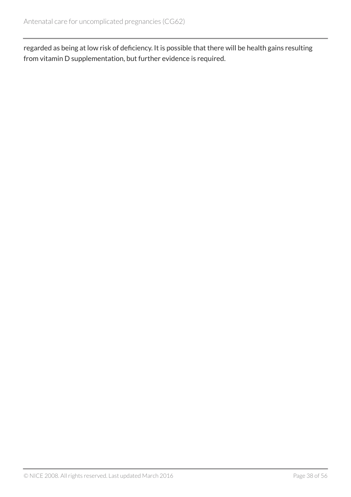regarded as being at low risk of deficiency. It is possible that there will be health gains resulting from vitamin D supplementation, but further evidence is required.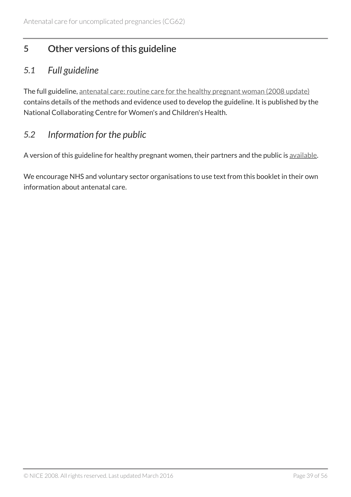# <span id="page-38-0"></span>5 Other versions of this guideline

### <span id="page-38-1"></span>*5.1 Full guideline*

The full guideline, [antenatal care: routine care for the healthy pregnant woman \(2008 update\)](http://www.nice.org.uk/guidance/cg62/evidence) contains details of the methods and evidence used to develop the guideline. It is published by the National Collaborating Centre for Women's and Children's Health.

# <span id="page-38-2"></span>*5.2 Information for the public*

A version of this guideline for healthy pregnant women, their partners and the public is [available](http://www.nice.org.uk/guidance/cg62/informationforpublic).

We encourage NHS and voluntary sector organisations to use text from this booklet in their own information about antenatal care.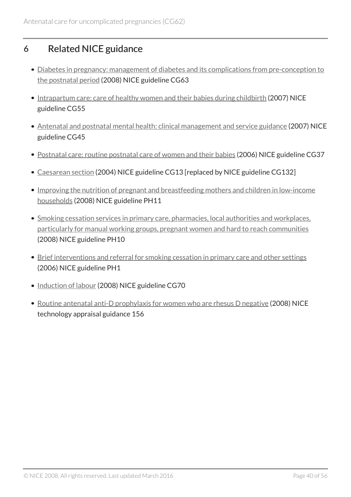# <span id="page-39-0"></span>6 Related NICE guidance

- [Diabetes in pregnancy: management of diabetes and its complications from pre-conception to](http://www.nice.org.uk/guidance/cg63) [the postnatal period](http://www.nice.org.uk/guidance/cg63) (2008) NICE guideline CG63
- [Intrapartum care: care of healthy women and their babies during childbirth](http://www.nice.org.uk/guidance/cg55) (2007) NICE guideline CG55
- [Antenatal and postnatal mental health: clinical management and service guidance](http://www.nice.org.uk/guidance/cg45) (2007) NICE guideline CG45
- [Postnatal care: routine postnatal care of women and their babies](http://www.nice.org.uk/guidance/cg37) (2006) NICE guideline CG37
- [Caesarean section](http://www.nice.org.uk/guidance/cg132) (2004) NICE guideline CG13 [replaced by NICE guideline CG132]
- [Improving the nutrition of pregnant and breastfeeding mothers and children in low-income](http://www.nice.org.uk/guidance/ph11) [households](http://www.nice.org.uk/guidance/ph11) (2008) NICE guideline PH11
- [Smoking cessation services in primary care, pharmacies, local authorities and workplaces,](http://www.nice.org.uk/guidance/ph10) [particularly for manual working groups, pregnant women and hard to reach communities](http://www.nice.org.uk/guidance/ph10) (2008) NICE guideline PH10
- [Brief interventions and referral for smoking cessation in primary care and other settings](http://www.nice.org.uk/guidance/ph1) (2006) NICE guideline PH1
- [Induction of labour](http://www.nice.org.uk/guidance/cg70) (2008) NICE guideline CG70
- [Routine antenatal anti-D prophylaxis for women who are rhesus D negative](http://www.nice.org.uk/guidance/ta156) (2008) NICE technology appraisal guidance 156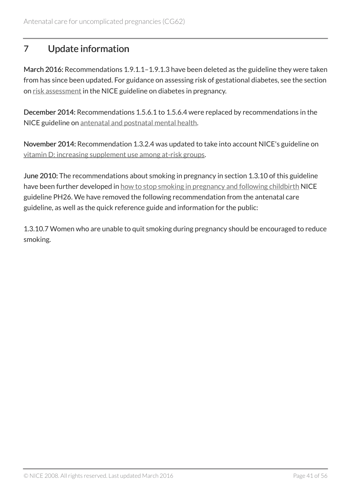# <span id="page-40-0"></span>7 Update information

March 2016: Recommendations 1.9.1.1–1.9.1.3 have been deleted as the guideline they were taken from has since been updated. For guidance on assessing risk of gestational diabetes, see the section on [risk assessment](http://www.nice.org.uk/guidance/NG3/chapter/1-Recommendations#gestational-diabetes-2) in the NICE guideline on diabetes in pregnancy.

December 2014: Recommendations 1.5.6.1 to 1.5.6.4 were replaced by recommendations in the NICE guideline on [antenatal and postnatal mental health.](http://www.nice.org.uk/guidance/cg192)

November 2014: Recommendation 1.3.2.4 was updated to take into account NICE's guideline on [vitamin D: increasing supplement use among at-risk groups.](http://www.nice.org.uk/guidance/ph56)

June 2010: The recommendations about smoking in pregnancy in section 1.3.10 of this guideline have been further developed in [how to stop smoking in pregnancy and following childbirth](http://www.nice.org.uk/guidance/ph26) NICE guideline PH26. We have removed the following recommendation from the antenatal care guideline, as well as the quick reference guide and information for the public:

1.3.10.7 Women who are unable to quit smoking during pregnancy should be encouraged to reduce smoking.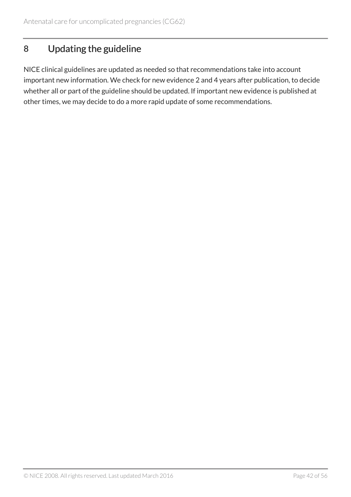# <span id="page-41-0"></span>8 Updating the guideline

NICE clinical guidelines are updated as needed so that recommendations take into account important new information. We check for new evidence 2 and 4 years after publication, to decide whether all or part of the guideline should be updated. If important new evidence is published at other times, we may decide to do a more rapid update of some recommendations.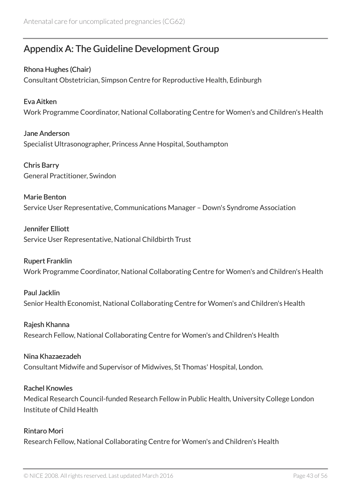# <span id="page-42-0"></span>Appendix A: The Guideline Development Group

Rhona Hughes (Chair) Consultant Obstetrician, Simpson Centre for Reproductive Health, Edinburgh

Eva Aitken Work Programme Coordinator, National Collaborating Centre for Women's and Children's Health

Jane Anderson Specialist Ultrasonographer, Princess Anne Hospital, Southampton

Chris Barry General Practitioner, Swindon

Marie Benton Service User Representative, Communications Manager – Down's Syndrome Association

Jennifer Elliott Service User Representative, National Childbirth Trust

Rupert Franklin Work Programme Coordinator, National Collaborating Centre for Women's and Children's Health

Paul Jacklin Senior Health Economist, National Collaborating Centre for Women's and Children's Health

Rajesh Khanna Research Fellow, National Collaborating Centre for Women's and Children's Health

Nina Khazaezadeh Consultant Midwife and Supervisor of Midwives, St Thomas' Hospital, London.

Rachel Knowles Medical Research Council-funded Research Fellow in Public Health, University College London Institute of Child Health

Rintaro Mori Research Fellow, National Collaborating Centre for Women's and Children's Health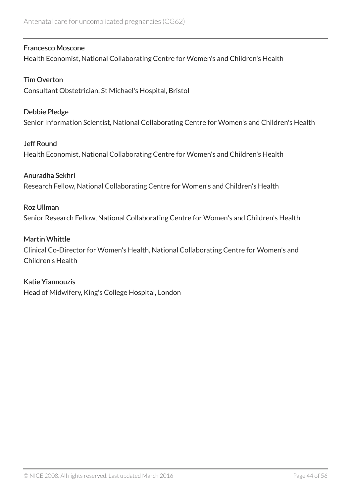#### Francesco Moscone

Health Economist, National Collaborating Centre for Women's and Children's Health

#### Tim Overton

Consultant Obstetrician, St Michael's Hospital, Bristol

#### Debbie Pledge

Senior Information Scientist, National Collaborating Centre for Women's and Children's Health

#### Jeff Round

Health Economist, National Collaborating Centre for Women's and Children's Health

#### Anuradha Sekhri

Research Fellow, National Collaborating Centre for Women's and Children's Health

#### Roz Ullman

Senior Research Fellow, National Collaborating Centre for Women's and Children's Health

#### Martin Whittle

Clinical Co-Director for Women's Health, National Collaborating Centre for Women's and Children's Health

#### Katie Yiannouzis

Head of Midwifery, King's College Hospital, London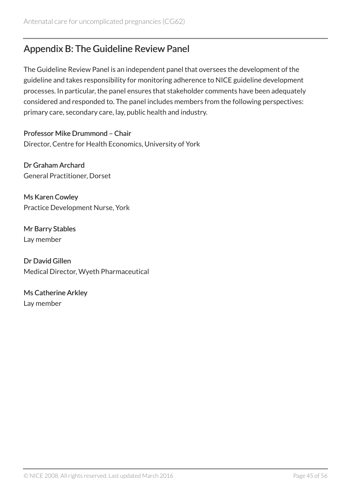# <span id="page-44-0"></span>Appendix B: The Guideline Review Panel

The Guideline Review Panel is an independent panel that oversees the development of the guideline and takes responsibility for monitoring adherence to NICE guideline development processes. In particular, the panel ensures that stakeholder comments have been adequately considered and responded to. The panel includes members from the following perspectives: primary care, secondary care, lay, public health and industry.

Professor Mike Drummond – Chair Director, Centre for Health Economics, University of York

Dr Graham Archard General Practitioner, Dorset

Ms Karen Cowley Practice Development Nurse, York

Mr Barry Stables Lay member

Dr David Gillen Medical Director, Wyeth Pharmaceutical

Ms Catherine Arkley Lay member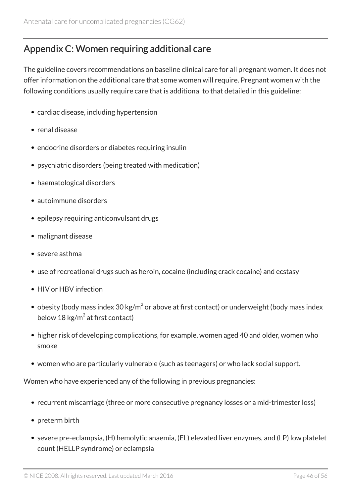# <span id="page-45-0"></span>Appendix C: Women requiring additional care

The guideline covers recommendations on baseline clinical care for all pregnant women. It does not offer information on the additional care that some women will require. Pregnant women with the following conditions usually require care that is additional to that detailed in this guideline:

- cardiac disease, including hypertension
- renal disease
- endocrine disorders or diabetes requiring insulin
- psychiatric disorders (being treated with medication)
- haematological disorders
- autoimmune disorders
- epilepsy requiring anticonvulsant drugs
- malignant disease
- severe asthma
- use of recreational drugs such as heroin, cocaine (including crack cocaine) and ecstasy
- HIV or HBV infection
- obesity (body mass index 30 kg/m $^2$  or above at first contact) or underweight (body mass index below 18 kg/m $^2$  at first contact)
- higher risk of developing complications, for example, women aged 40 and older, women who smoke
- women who are particularly vulnerable (such as teenagers) or who lack social support.

Women who have experienced any of the following in previous pregnancies:

- recurrent miscarriage (three or more consecutive pregnancy losses or a mid-trimester loss)
- preterm birth
- severe pre-eclampsia, (H) hemolytic anaemia, (EL) elevated liver enzymes, and (LP) low platelet count (HELLP syndrome) or eclampsia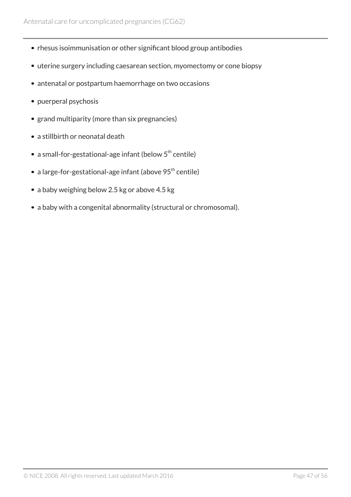- rhesus isoimmunisation or other significant blood group antibodies
- uterine surgery including caesarean section, myomectomy or cone biopsy
- antenatal or postpartum haemorrhage on two occasions
- puerperal psychosis
- grand multiparity (more than six pregnancies)
- a stillbirth or neonatal death
- $\bullet$  a small-for-gestational-age infant (below  $5^{\text{th}}$  centile)
- a large-for-gestational-age infant (above  $95<sup>th</sup>$  centile)
- a baby weighing below 2.5 kg or above 4.5 kg
- a baby with a congenital abnormality (structural or chromosomal).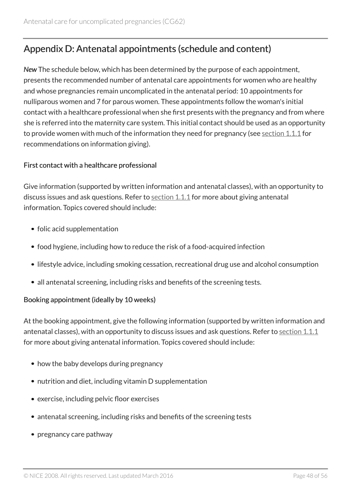# <span id="page-47-0"></span>Appendix D: Antenatal appointments (schedule and content)

*New* The schedule below, which has been determined by the purpose of each appointment, presents the recommended number of antenatal care appointments for women who are healthy and whose pregnancies remain uncomplicated in the antenatal period: 10 appointments for nulliparous women and 7 for parous women. These appointments follow the woman's initial contact with a healthcare professional when she first presents with the pregnancy and from where she is referred into the maternity care system. This initial contact should be used as an opportunity to provide women with much of the information they need for pregnancy (see [section 1.1.1](http://www.nice.org.uk/guidance/cg62/chapter/1-Guidance#womancentred-care-and-informed-decisionmaking) for recommendations on information giving).

#### First contact with a healthcare professional

Give information (supported by written information and antenatal classes), with an opportunity to discuss issues and ask questions. Refer to [section 1.1.1](https://www.nice.org.uk/guidance/cg62/chapter/1-Guidance#womancentred-care-and-informed-decisionmaking) for more about giving antenatal information. Topics covered should include:

- folic acid supplementation
- food hygiene, including how to reduce the risk of a food-acquired infection
- lifestyle advice, including smoking cessation, recreational drug use and alcohol consumption
- all antenatal screening, including risks and benefits of the screening tests.

### Booking appointment (ideally by 10 weeks)

At the booking appointment, give the following information (supported by written information and antenatal classes), with an opportunity to discuss issues and ask questions. Refer to [section 1.1.1](https://www.nice.org.uk/guidance/cg62/chapter/1-Guidance#womancentred-care-and-informed-decisionmaking) for more about giving antenatal information. Topics covered should include:

- how the baby develops during pregnancy
- nutrition and diet, including vitamin D supplementation
- exercise, including pelvic floor exercises
- antenatal screening, including risks and benefits of the screening tests
- pregnancy care pathway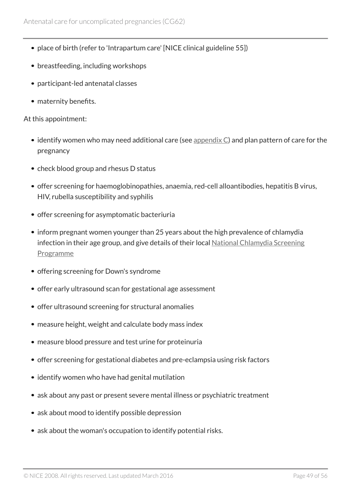- place of birth (refer to 'Intrapartum care' [NICE clinical guideline 55])
- breastfeeding, including workshops
- participant-led antenatal classes
- maternity benefits.

At this appointment:

- $\bullet$  identify women who may need additional care (see [appendix C\)](http://www.nice.org.uk/guidance/cg62/chapter/appendix-c-women-requiring-additional-care) and plan pattern of care for the pregnancy
- check blood group and rhesus D status
- offer screening for haemoglobinopathies, anaemia, red-cell alloantibodies, hepatitis B virus, HIV, rubella susceptibility and syphilis
- offer screening for asymptomatic bacteriuria
- inform pregnant women younger than 25 years about the high prevalence of chlamydia infection in their age group, and give details of their local [National Chlamydia Screening](http://www.chlamydiascreening.nhs.uk/) **[Programme](http://www.chlamydiascreening.nhs.uk/)**
- offering screening for Down's syndrome
- offer early ultrasound scan for gestational age assessment
- offer ultrasound screening for structural anomalies
- measure height, weight and calculate body mass index
- measure blood pressure and test urine for proteinuria
- offer screening for gestational diabetes and pre-eclampsia using risk factors
- identify women who have had genital mutilation
- ask about any past or present severe mental illness or psychiatric treatment
- ask about mood to identify possible depression
- ask about the woman's occupation to identify potential risks.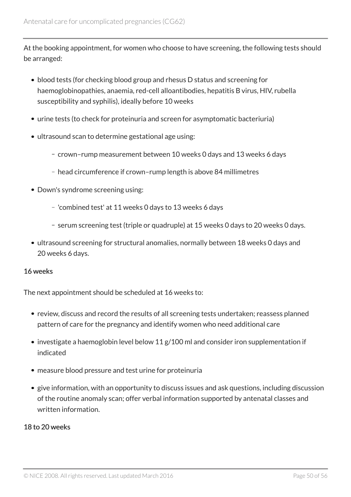At the booking appointment, for women who choose to have screening, the following tests should be arranged:

- blood tests (for checking blood group and rhesus D status and screening for haemoglobinopathies, anaemia, red-cell alloantibodies, hepatitis B virus, HIV, rubella susceptibility and syphilis), ideally before 10 weeks
- urine tests (to check for proteinuria and screen for asymptomatic bacteriuria)
- ultrasound scan to determine gestational age using:
	- crown–rump measurement between 10 weeks 0 days and 13 weeks 6 days
	- head circumference if crown–rump length is above 84 millimetres
- Down's syndrome screening using:
	- 'combined test' at 11 weeks 0 days to 13 weeks 6 days
	- serum screening test (triple or quadruple) at 15 weeks 0 days to 20 weeks 0 days.
- ultrasound screening for structural anomalies, normally between 18 weeks 0 days and 20 weeks 6 days.

#### 16 weeks

The next appointment should be scheduled at 16 weeks to:

- review, discuss and record the results of all screening tests undertaken; reassess planned pattern of care for the pregnancy and identify women who need additional care
- investigate a haemoglobin level below 11 g/100 ml and consider iron supplementation if indicated
- measure blood pressure and test urine for proteinuria
- give information, with an opportunity to discuss issues and ask questions, including discussion of the routine anomaly scan; offer verbal information supported by antenatal classes and written information.

#### 18 to 20 weeks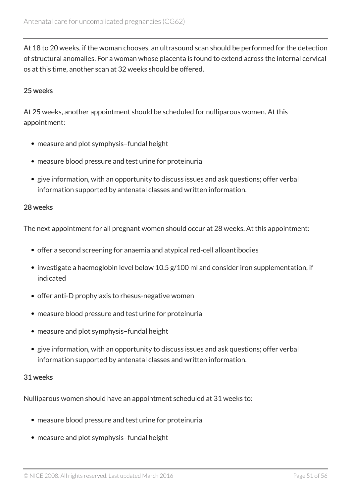At 18 to 20 weeks, if the woman chooses, an ultrasound scan should be performed for the detection of structural anomalies. For a woman whose placenta is found to extend across the internal cervical os at this time, another scan at 32 weeks should be offered.

### 25 weeks

At 25 weeks, another appointment should be scheduled for nulliparous women. At this appointment:

- measure and plot symphysis–fundal height
- measure blood pressure and test urine for proteinuria
- give information, with an opportunity to discuss issues and ask questions; offer verbal information supported by antenatal classes and written information.

### 28 weeks

The next appointment for all pregnant women should occur at 28 weeks. At this appointment:

- offer a second screening for anaemia and atypical red-cell alloantibodies
- $\bullet$  investigate a haemoglobin level below 10.5 g/100 ml and consider iron supplementation, if indicated
- offer anti-D prophylaxis to rhesus-negative women
- measure blood pressure and test urine for proteinuria
- measure and plot symphysis–fundal height
- give information, with an opportunity to discuss issues and ask questions; offer verbal information supported by antenatal classes and written information.

#### 31 weeks

Nulliparous women should have an appointment scheduled at 31 weeks to:

- measure blood pressure and test urine for proteinuria
- measure and plot symphysis–fundal height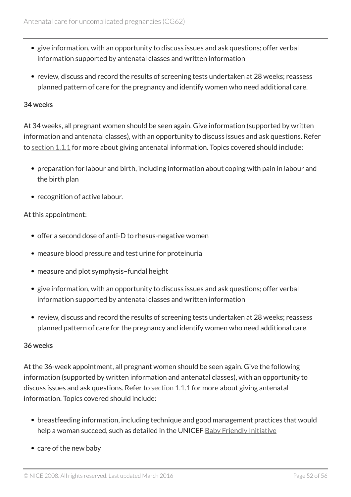- give information, with an opportunity to discuss issues and ask questions; offer verbal information supported by antenatal classes and written information
- review, discuss and record the results of screening tests undertaken at 28 weeks; reassess planned pattern of care for the pregnancy and identify women who need additional care.

#### 34 weeks

At 34 weeks, all pregnant women should be seen again. Give information (supported by written information and antenatal classes), with an opportunity to discuss issues and ask questions. Refer to [section 1.1.1](https://www.nice.org.uk/guidance/cg62/chapter/1-Guidance#womancentred-care-and-informed-decisionmaking) for more about giving antenatal information. Topics covered should include:

- preparation for labour and birth, including information about coping with pain in labour and the birth plan
- recognition of active labour.

### At this appointment:

- offer a second dose of anti-D to rhesus-negative women
- measure blood pressure and test urine for proteinuria
- measure and plot symphysis–fundal height
- give information, with an opportunity to discuss issues and ask questions; offer verbal information supported by antenatal classes and written information
- review, discuss and record the results of screening tests undertaken at 28 weeks; reassess planned pattern of care for the pregnancy and identify women who need additional care.

#### 36 weeks

At the 36-week appointment, all pregnant women should be seen again. Give the following information (supported by written information and antenatal classes), with an opportunity to discuss issues and ask questions. Refer to [section 1.1.1](https://www.nice.org.uk/guidance/cg62/chapter/1-Guidance#womancentred-care-and-informed-decisionmaking) for more about giving antenatal information. Topics covered should include:

- breastfeeding information, including technique and good management practices that would help a woman succeed, such as detailed in the UNICEF [Baby Friendly Initiative](http://www.babyfriendly.org.uk/page.asp?page=60)
- care of the new baby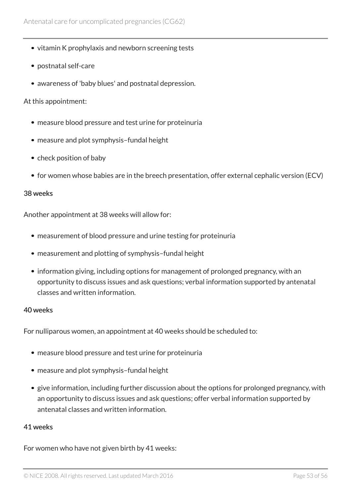- vitamin K prophylaxis and newborn screening tests
- postnatal self-care
- awareness of 'baby blues' and postnatal depression.

#### At this appointment:

- measure blood pressure and test urine for proteinuria
- measure and plot symphysis–fundal height
- check position of baby
- for women whose babies are in the breech presentation, offer external cephalic version (ECV)

#### 38 weeks

Another appointment at 38 weeks will allow for:

- measurement of blood pressure and urine testing for proteinuria
- measurement and plotting of symphysis–fundal height
- information giving, including options for management of prolonged pregnancy, with an opportunity to discuss issues and ask questions; verbal information supported by antenatal classes and written information.

#### 40 weeks

For nulliparous women, an appointment at 40 weeks should be scheduled to:

- measure blood pressure and test urine for proteinuria
- measure and plot symphysis-fundal height
- give information, including further discussion about the options for prolonged pregnancy, with an opportunity to discuss issues and ask questions; offer verbal information supported by antenatal classes and written information.

#### 41 weeks

For women who have not given birth by 41 weeks: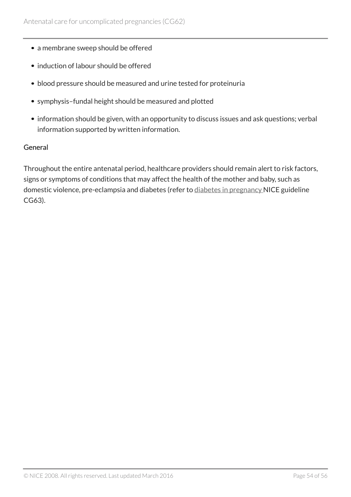- a membrane sweep should be offered
- induction of labour should be offered
- blood pressure should be measured and urine tested for proteinuria
- symphysis–fundal height should be measured and plotted
- information should be given, with an opportunity to discuss issues and ask questions; verbal information supported by written information.

#### General

Throughout the entire antenatal period, healthcare providers should remain alert to risk factors, signs or symptoms of conditions that may affect the health of the mother and baby, such as domestic violence, pre-eclampsia and diabetes (refer to [diabetes in pregnancy](http://www.nice.org.uk/guidance/cg63) NICE guideline CG63).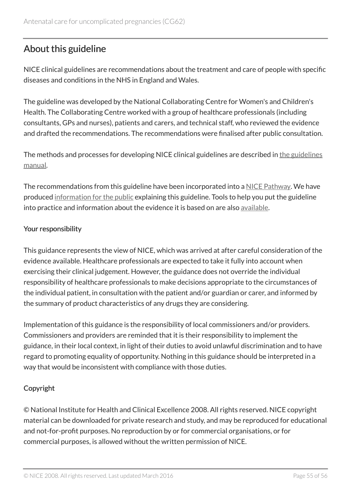# <span id="page-54-0"></span>About this guideline

NICE clinical guidelines are recommendations about the treatment and care of people with specific diseases and conditions in the NHS in England and Wales.

The guideline was developed by the National Collaborating Centre for Women's and Children's Health. The Collaborating Centre worked with a group of healthcare professionals (including consultants, GPs and nurses), patients and carers, and technical staff, who reviewed the evidence and drafted the recommendations. The recommendations were finalised after public consultation.

The methods and processes for developing NICE clinical guidelines are described in [the guidelines](http://www.nice.org.uk/article/PMG6/chapter/1%20Introduction) [manual](http://www.nice.org.uk/article/PMG6/chapter/1%20Introduction).

The recommendations from this guideline have been incorporated into a [NICE Pathway.](http://pathways.nice.org.uk/pathways/antenatal-care) We have produced [information for the public](http://www.nice.org.uk/guidance/cg62/informationforpublic) explaining this guideline. Tools to help you put the guideline into practice and information about the evidence it is based on are also [available.](http://www.nice.org.uk/guidance/cg62/resources)

### Your responsibility

This guidance represents the view of NICE, which was arrived at after careful consideration of the evidence available. Healthcare professionals are expected to take it fully into account when exercising their clinical judgement. However, the guidance does not override the individual responsibility of healthcare professionals to make decisions appropriate to the circumstances of the individual patient, in consultation with the patient and/or guardian or carer, and informed by the summary of product characteristics of any drugs they are considering.

Implementation of this guidance is the responsibility of local commissioners and/or providers. Commissioners and providers are reminded that it is their responsibility to implement the guidance, in their local context, in light of their duties to avoid unlawful discrimination and to have regard to promoting equality of opportunity. Nothing in this guidance should be interpreted in a way that would be inconsistent with compliance with those duties.

### Copyright

© National Institute for Health and Clinical Excellence 2008. All rights reserved. NICE copyright material can be downloaded for private research and study, and may be reproduced for educational and not-for-profit purposes. No reproduction by or for commercial organisations, or for commercial purposes, is allowed without the written permission of NICE.